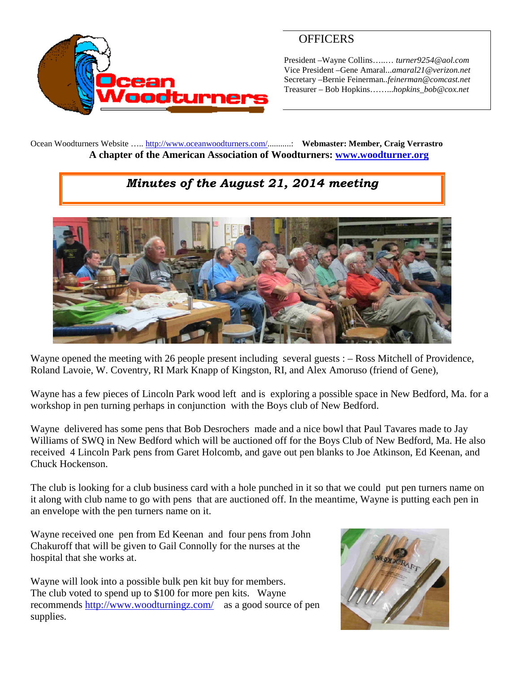

## **OFFICERS**

President –Wayne Collins…..… *turner9254@aol.com* Vice President –Gene Amaral...*amaral21@verizon.net* Secretary –Bernie Feinerman*..feinerman@comcast.net* Treasurer – Bob Hopkins……...*hopkins\_bob@cox.net*

Ocean Woodturners Website ….. <http://www.oceanwoodturners.com/>...........: **Webmaster: Member, Craig Verrastro A chapter of the American Association of Woodturners: [www.woodturner.org](http://www.woodturner.org/)**

## *Minutes of the August 21, 2014 meeting*



Wayne opened the meeting with 26 people present including several guests : – Ross Mitchell of Providence, Roland Lavoie, W. Coventry, RI Mark Knapp of Kingston, RI, and Alex Amoruso (friend of Gene),

Wayne has a few pieces of Lincoln Park wood left and is exploring a possible space in New Bedford, Ma. for a workshop in pen turning perhaps in conjunction with the Boys club of New Bedford.

Wayne delivered has some pens that Bob Desrochers made and a nice bowl that Paul Tavares made to Jay Williams of SWQ in New Bedford which will be auctioned off for the Boys Club of New Bedford, Ma. He also received 4 Lincoln Park pens from Garet Holcomb, and gave out pen blanks to Joe Atkinson, Ed Keenan, and Chuck Hockenson.

The club is looking for a club business card with a hole punched in it so that we could put pen turners name on it along with club name to go with pens that are auctioned off. In the meantime, Wayne is putting each pen in an envelope with the pen turners name on it.

Wayne received one pen from Ed Keenan and four pens from John Chakuroff that will be given to Gail Connolly for the nurses at the hospital that she works at.

Wayne will look into a possible bulk pen kit buy for members. The club voted to spend up to \$100 for more pen kits. Wayne recommends <http://www.woodturningz.com/> as a good source of pen supplies.

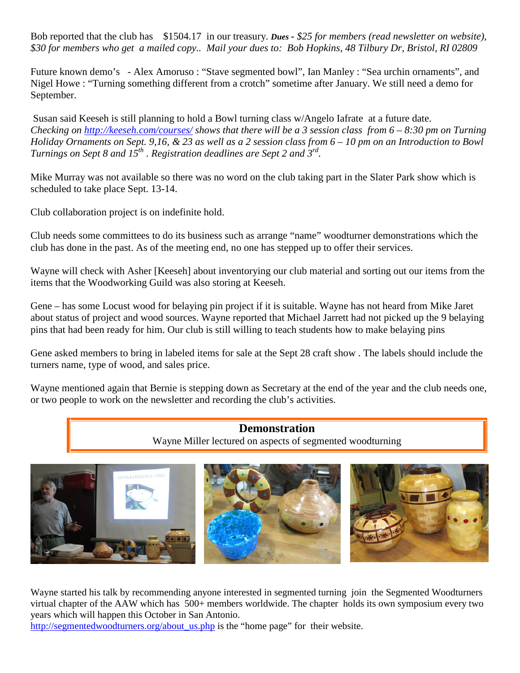Bob reported that the club has \$1504.17 in our treasury. *Dues - \$25 for members (read newsletter on website), \$30 for members who get a mailed copy.. Mail your dues to: Bob Hopkins, 48 Tilbury Dr, Bristol, RI 02809*

Future known demo's - Alex Amoruso : "Stave segmented bowl", Ian Manley : "Sea urchin ornaments", and Nigel Howe : "Turning something different from a crotch" sometime after January. We still need a demo for September.

Susan said Keeseh is still planning to hold a Bowl turning class w/Angelo Iafrate at a future date. *Checking on <http://keeseh.com/courses/> shows that there will be a 3 session class from 6 – 8:30 pm on Turning Holiday Ornaments on Sept. 9,16, & 23 as well as a 2 session class from 6 – 10 pm on an Introduction to Bowl Turnings on Sept 8 and 15th . Registration deadlines are Sept 2 and 3rd .*

Mike Murray was not available so there was no word on the club taking part in the Slater Park show which is scheduled to take place Sept. 13-14.

Club collaboration project is on indefinite hold.

Club needs some committees to do its business such as arrange "name" woodturner demonstrations which the club has done in the past. As of the meeting end, no one has stepped up to offer their services.

Wayne will check with Asher [Keeseh] about inventorying our club material and sorting out our items from the items that the Woodworking Guild was also storing at Keeseh.

Gene – has some Locust wood for belaying pin project if it is suitable. Wayne has not heard from Mike Jaret about status of project and wood sources. Wayne reported that Michael Jarrett had not picked up the 9 belaying pins that had been ready for him. Our club is still willing to teach students how to make belaying pins

Gene asked members to bring in labeled items for sale at the Sept 28 craft show . The labels should include the turners name, type of wood, and sales price.

Wayne mentioned again that Bernie is stepping down as Secretary at the end of the year and the club needs one, or two people to work on the newsletter and recording the club's activities.

## **Demonstration**

Wayne Miller lectured on aspects of segmented woodturning



Wayne started his talk by recommending anyone interested in segmented turning join the Segmented Woodturners virtual chapter of the AAW which has 500+ members worldwide. The chapter holds its own symposium every two years which will happen this October in San Antonio.

[http://segmentedwoodturners.org/about\\_us.php](http://segmentedwoodturners.org/about_us.php) is the "home page" for their website.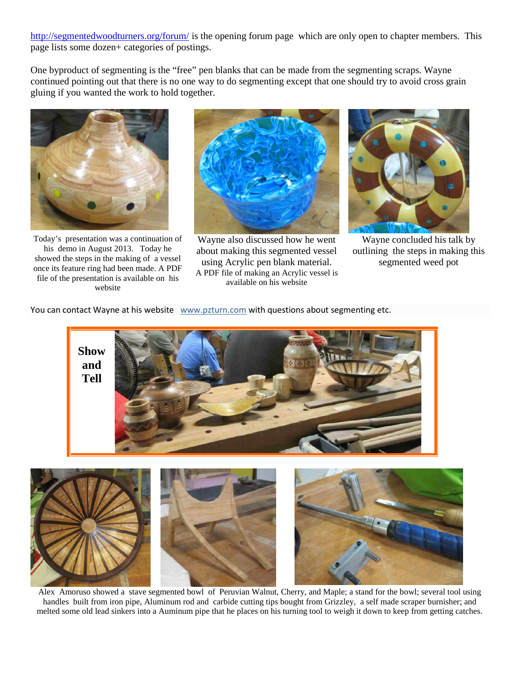<http://segmentedwoodturners.org/forum/> is the opening forum page which are only open to chapter members. This page lists some dozen+ categories of postings.

One byproduct of segmenting is the "free" pen blanks that can be made from the segmenting scraps. Wayne continued pointing out that there is no one way to do segmenting except that one should try to avoid cross grain gluing if you wanted the work to hold together.



Today's presentation was a continuation of his demo in August 2013. Today he showed the steps in the making of a vessel once its feature ring had been made. A PDF file of the presentation is available on his website



Wayne also discussed how he went about making this segmented vessel using Acrylic pen blank material. A PDF file of making an Acrylic vessel is available on his website



Wayne concluded his talk by outlining the steps in making this segmented weed pot

You can contact Wayne at his website [www.pzturn.com](http://www.pzturn.com/) with questions about segmenting etc.



Alex Amoruso showed a stave segmented bowl of Peruvian Walnut, Cherry, and Maple; a stand for the bowl; several tool using handles built from iron pipe, Aluminum rod and carbide cutting tips bought from Grizzley, a self made scraper burnisher; and melted some old lead sinkers into a Auminum pipe that he places on his turning tool to weigh it down to keep from getting catches.